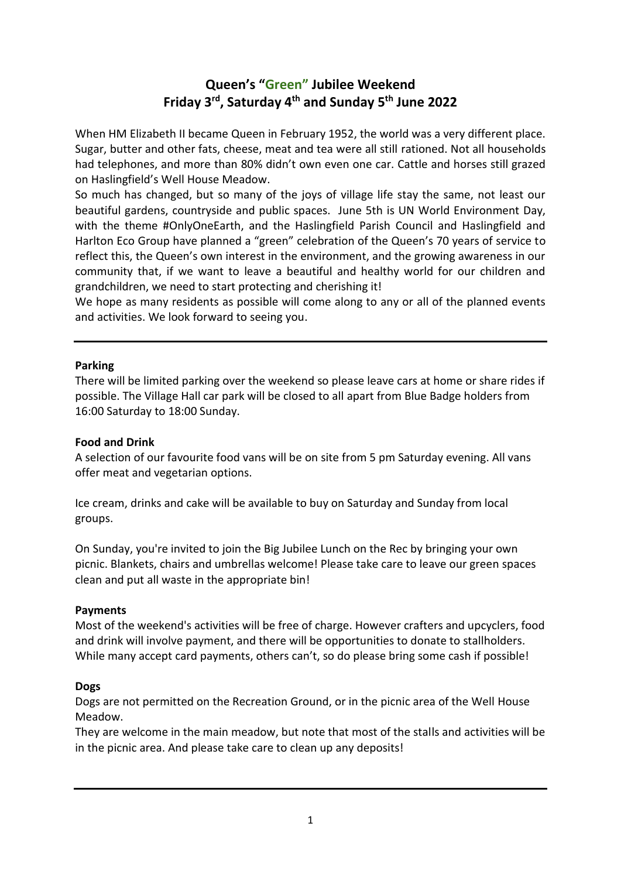# **Queen's "Green" Jubilee Weekend Friday 3rd, Saturday 4th and Sunday 5th June 2022**

When HM Elizabeth II became Queen in February 1952, the world was a very different place. Sugar, butter and other fats, cheese, meat and tea were all still rationed. Not all households had telephones, and more than 80% didn't own even one car. Cattle and horses still grazed on Haslingfield's Well House Meadow.

So much has changed, but so many of the joys of village life stay the same, not least our beautiful gardens, countryside and public spaces. June 5th is UN World Environment Day, with the theme #OnlyOneEarth, and the Haslingfield Parish Council and Haslingfield and Harlton Eco Group have planned a "green" celebration of the Queen's 70 years of service to reflect this, the Queen's own interest in the environment, and the growing awareness in our community that, if we want to leave a beautiful and healthy world for our children and grandchildren, we need to start protecting and cherishing it!

We hope as many residents as possible will come along to any or all of the planned events and activities. We look forward to seeing you.

#### **Parking**

There will be limited parking over the weekend so please leave cars at home or share rides if possible. The Village Hall car park will be closed to all apart from Blue Badge holders from 16:00 Saturday to 18:00 Sunday.

#### **Food and Drink**

A selection of our favourite food vans will be on site from 5 pm Saturday evening. All vans offer meat and vegetarian options.

Ice cream, drinks and cake will be available to buy on Saturday and Sunday from local groups.

On Sunday, you're invited to join the Big Jubilee Lunch on the Rec by bringing your own picnic. Blankets, chairs and umbrellas welcome! Please take care to leave our green spaces clean and put all waste in the appropriate bin!

#### **Payments**

Most of the weekend's activities will be free of charge. However crafters and upcyclers, food and drink will involve payment, and there will be opportunities to donate to stallholders. While many accept card payments, others can't, so do please bring some cash if possible!

### **Dogs**

Dogs are not permitted on the Recreation Ground, or in the picnic area of the Well House Meadow.

They are welcome in the main meadow, but note that most of the stalls and activities will be in the picnic area. And please take care to clean up any deposits!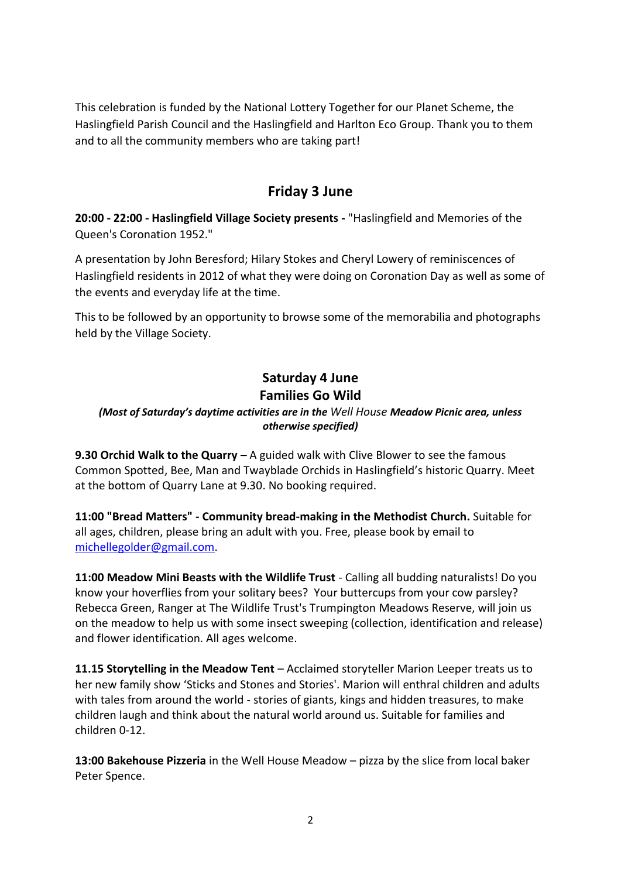This celebration is funded by the National Lottery Together for our Planet Scheme, the Haslingfield Parish Council and the Haslingfield and Harlton Eco Group. Thank you to them and to all the community members who are taking part!

# **Friday 3 June**

**20:00 - 22:00 - Haslingfield Village Society presents -** "Haslingfield and Memories of the Queen's Coronation 1952."

A presentation by John Beresford; Hilary Stokes and Cheryl Lowery of reminiscences of Haslingfield residents in 2012 of what they were doing on Coronation Day as well as some of the events and everyday life at the time.

This to be followed by an opportunity to browse some of the memorabilia and photographs held by the Village Society.

# **Saturday 4 June Families Go Wild**

### *(Most of Saturday's daytime activities are in the Well House Meadow Picnic area, unless otherwise specified)*

**9.30 Orchid Walk to the Quarry –** A guided walk with Clive Blower to see the famous Common Spotted, Bee, Man and Twayblade Orchids in Haslingfield's historic Quarry. Meet at the bottom of Quarry Lane at 9.30. No booking required.

**11:00 "Bread Matters" - Community bread-making in the Methodist Church.** Suitable for all ages, children, please bring an adult with you. Free, please book by email to [michellegolder@gmail.com.](mailto:michellegolder@gmail.com)

**11:00 Meadow Mini Beasts with the Wildlife Trust** - Calling all budding naturalists! Do you know your hoverflies from your solitary bees? Your buttercups from your cow parsley? Rebecca Green, Ranger at The Wildlife Trust's Trumpington Meadows Reserve, will join us on the meadow to help us with some insect sweeping (collection, identification and release) and flower identification. All ages welcome.

**11.15 Storytelling in the Meadow Tent** – Acclaimed storyteller Marion Leeper treats us to her new family show 'Sticks and Stones and Stories'. Marion will enthral children and adults with tales from around the world - stories of giants, kings and hidden treasures, to make children laugh and think about the natural world around us. Suitable for families and children 0-12.

**13:00 Bakehouse Pizzeria** in the Well House Meadow – pizza by the slice from local baker Peter Spence.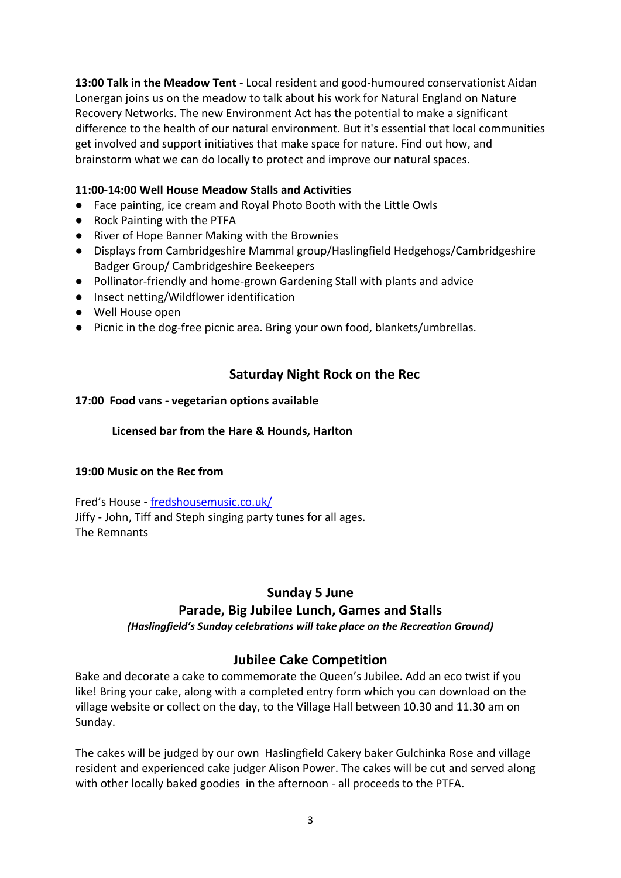**13:00 Talk in the Meadow Tent** - Local resident and good-humoured conservationist Aidan Lonergan joins us on the meadow to talk about his work for Natural England on Nature Recovery Networks. The new Environment Act has the potential to make a significant difference to the health of our natural environment. But it's essential that local communities get involved and support initiatives that make space for nature. Find out how, and brainstorm what we can do locally to protect and improve our natural spaces.

### **11:00-14:00 Well House Meadow Stalls and Activities**

- Face painting, ice cream and Royal Photo Booth with the Little Owls
- Rock Painting with the PTFA
- River of Hope Banner Making with the Brownies
- Displays from Cambridgeshire Mammal group/Haslingfield Hedgehogs/Cambridgeshire Badger Group/ Cambridgeshire Beekeepers
- Pollinator-friendly and home-grown Gardening Stall with plants and advice
- Insect netting/Wildflower identification
- Well House open
- Picnic in the dog-free picnic area. Bring your own food, blankets/umbrellas.

# **Saturday Night Rock on the Rec**

### **17:00 Food vans - vegetarian options available**

### **Licensed bar from the Hare & Hounds, Harlton**

### **19:00 Music on the Rec from**

Fred's House - <fredshousemusic.co.uk/> Jiffy - John, Tiff and Steph singing party tunes for all ages. The Remnants

# **Sunday 5 June**

# **Parade, Big Jubilee Lunch, Games and Stalls**

*(Haslingfield's Sunday celebrations will take place on the Recreation Ground)*

# **Jubilee Cake Competition**

Bake and decorate a cake to commemorate the Queen's Jubilee. Add an eco twist if you like! Bring your cake, along with a completed entry form which you can download on the village website or collect on the day, to the Village Hall between 10.30 and 11.30 am on Sunday.

The cakes will be judged by our own Haslingfield Cakery baker Gulchinka Rose and village resident and experienced cake judger Alison Power. The cakes will be cut and served along with other locally baked goodies in the afternoon - all proceeds to the PTFA.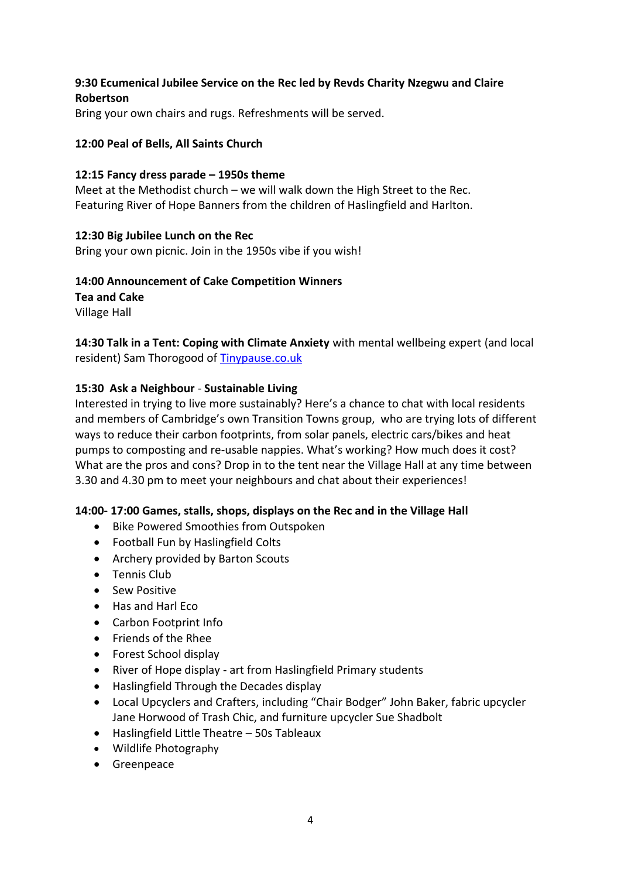### **9:30 Ecumenical Jubilee Service on the Rec led by Revds Charity Nzegwu and Claire Robertson**

Bring your own chairs and rugs. Refreshments will be served.

#### **12:00 Peal of Bells, All Saints Church**

#### **12:15 Fancy dress parade – 1950s theme**

Meet at the Methodist church – we will walk down the High Street to the Rec. Featuring River of Hope Banners from the children of Haslingfield and Harlton.

#### **12:30 Big Jubilee Lunch on the Rec**

Bring your own picnic. Join in the 1950s vibe if you wish!

### **14:00 Announcement of Cake Competition Winners**

**Tea and Cake**

Village Hall

**14:30 Talk in a Tent: Coping with Climate Anxiety** with mental wellbeing expert (and local resident) Sam Thorogood of [Tinypause.co.uk](http://tinypause.co.uk/)

#### **15:30 Ask a Neighbour** - **Sustainable Living**

Interested in trying to live more sustainably? Here's a chance to chat with local residents and members of Cambridge's own Transition Towns group, who are trying lots of different ways to reduce their carbon footprints, from solar panels, electric cars/bikes and heat pumps to composting and re-usable nappies. What's working? How much does it cost? What are the pros and cons? Drop in to the tent near the Village Hall at any time between 3.30 and 4.30 pm to meet your neighbours and chat about their experiences!

### **14:00- 17:00 Games, stalls, shops, displays on the Rec and in the Village Hall**

- Bike Powered Smoothies from Outspoken
- Football Fun by Haslingfield Colts
- Archery provided by Barton Scouts
- Tennis Club
- Sew Positive
- Has and Harl Eco
- Carbon Footprint Info
- Friends of the Rhee
- Forest School display
- River of Hope display art from Haslingfield Primary students
- Haslingfield Through the Decades display
- Local Upcyclers and Crafters, including "Chair Bodger" John Baker, fabric upcycler Jane Horwood of Trash Chic, and furniture upcycler Sue Shadbolt
- Haslingfield Little Theatre 50s Tableaux
- Wildlife Photography
- Greenpeace